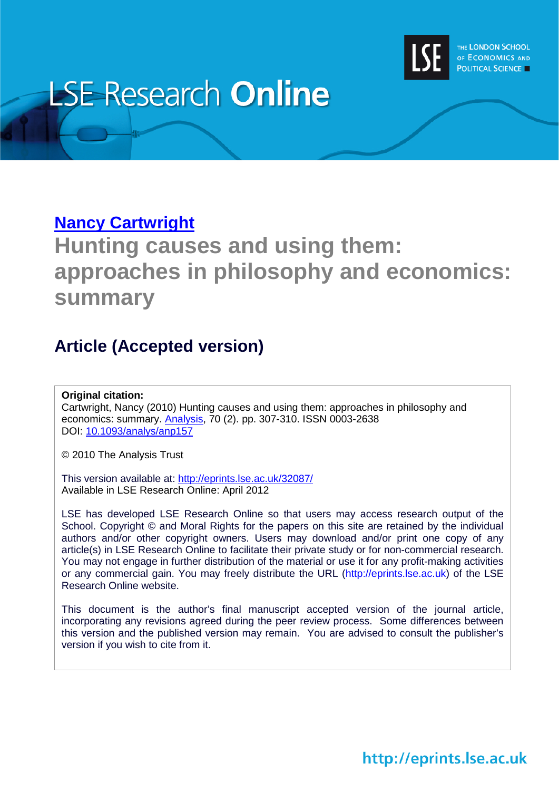

# **LSE Research Online**

### **[Nancy Cartwright](http://www2.lse.ac.uk/researchAndExpertise/Experts/profile.aspx?KeyValue=n.l.cartwright@lse.ac.uk)**

## **Hunting causes and using them: approaches in philosophy and economics: summary**

### **Article (Accepted version)**

### **Original citation:**

Cartwright, Nancy (2010) Hunting causes and using them: approaches in philosophy and economics: summary. [Analysis,](http://analysis.oxfordjournals.org/) 70 (2). pp. 307-310. ISSN 0003-2638 DOI: [10.1093/analys/anp157](http://dx.doi.org/10.1093/analys/anp157)

© 2010 The Analysis Trust

This version available at:<http://eprints.lse.ac.uk/32087/> Available in LSE Research Online: April 2012

LSE has developed LSE Research Online so that users may access research output of the School. Copyright © and Moral Rights for the papers on this site are retained by the individual authors and/or other copyright owners. Users may download and/or print one copy of any article(s) in LSE Research Online to facilitate their private study or for non-commercial research. You may not engage in further distribution of the material or use it for any profit-making activities or any commercial gain. You may freely distribute the URL (http://eprints.lse.ac.uk) of the LSE Research Online website.

This document is the author's final manuscript accepted version of the journal article, incorporating any revisions agreed during the peer review process. Some differences between this version and the published version may remain. You are advised to consult the publisher's version if you wish to cite from it.

http://eprints.lse.ac.uk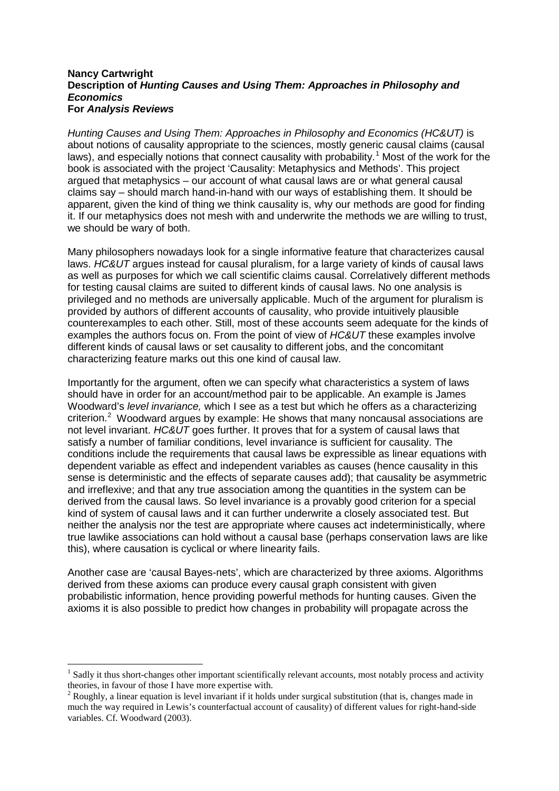#### **Nancy Cartwright Description of** *Hunting Causes and Using Them: Approaches in Philosophy and Economics*  **For** *Analysis Reviews*

*Hunting Causes and Using Them: Approaches in Philosophy and Economics (HC&UT)* is about notions of causality appropriate to the sciences, mostly generic causal claims (causal laws), and especially notions that connect causality with probability.<sup>[1](#page-3-0)</sup> Most of the work for the book is associated with the project 'Causality: Metaphysics and Methods'. This project argued that metaphysics – our account of what causal laws are or what general causal claims say – should march hand-in-hand with our ways of establishing them. It should be apparent, given the kind of thing we think causality is, why our methods are good for finding it. If our metaphysics does not mesh with and underwrite the methods we are willing to trust, we should be wary of both.

Many philosophers nowadays look for a single informative feature that characterizes causal laws. *HC&UT* argues instead for causal pluralism, for a large variety of kinds of causal laws as well as purposes for which we call scientific claims causal. Correlatively different methods for testing causal claims are suited to different kinds of causal laws. No one analysis is privileged and no methods are universally applicable. Much of the argument for pluralism is provided by authors of different accounts of causality, who provide intuitively plausible counterexamples to each other. Still, most of these accounts seem adequate for the kinds of examples the authors focus on. From the point of view of *HC&UT* these examples involve different kinds of causal laws or set causality to different jobs, and the concomitant characterizing feature marks out this one kind of causal law.

Importantly for the argument, often we can specify what characteristics a system of laws should have in order for an account/method pair to be applicable. An example is James Woodward's *level invariance,* which I see as a test but which he offers as a characterizing criterion. $2$  Woodward argues by example: He shows that many noncausal associations are not level invariant. *HC&UT* goes further. It proves that for a system of causal laws that satisfy a number of familiar conditions, level invariance is sufficient for causality. The conditions include the requirements that causal laws be expressible as linear equations with dependent variable as effect and independent variables as causes (hence causality in this sense is deterministic and the effects of separate causes add); that causality be asymmetric and irreflexive; and that any true association among the quantities in the system can be derived from the causal laws. So level invariance is a provably good criterion for a special kind of system of causal laws and it can further underwrite a closely associated test. But neither the analysis nor the test are appropriate where causes act indeterministically, where true lawlike associations can hold without a causal base (perhaps conservation laws are like this), where causation is cyclical or where linearity fails.

<span id="page-1-1"></span>Another case are 'causal Bayes-nets', which are characterized by three axioms. Algorithms derived from these axioms can produce every causal graph consistent with given probabilistic information, hence providing powerful methods for hunting causes. Given the axioms it is also possible to predict how changes in probability will propagate across the

Sadly it thus short-changes other important scientifically relevant accounts, most notably process and activity theories, in favour of those I have more expertise with.

<span id="page-1-0"></span> $2$  Roughly, a linear equation is level invariant if it holds under surgical substitution (that is, changes made in much the way required in Lewis's counterfactual account of causality) of different values for right-hand-side variables. Cf. Woodward (2003).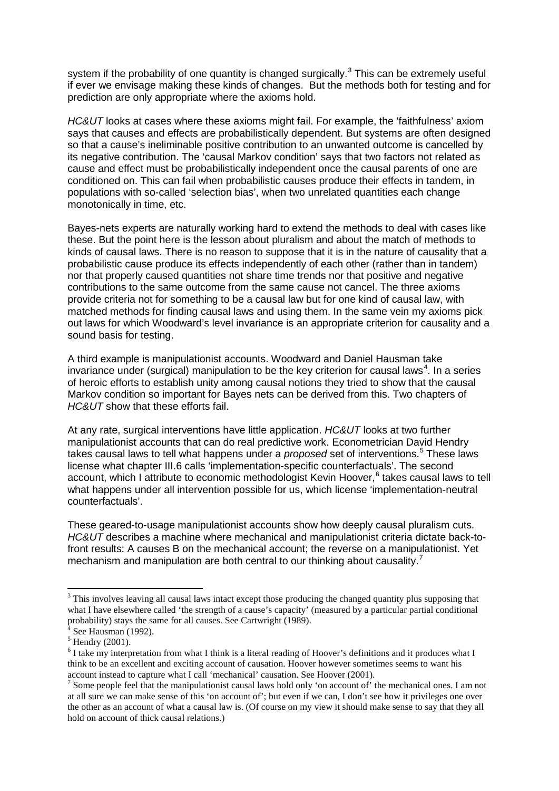system if the probability of one quantity is changed surgically.<sup>[3](#page-1-1)</sup> This can be extremely useful if ever we envisage making these kinds of changes. But the methods both for testing and for prediction are only appropriate where the axioms hold.

*HC&UT* looks at cases where these axioms might fail. For example, the 'faithfulness' axiom says that causes and effects are probabilistically dependent. But systems are often designed so that a cause's ineliminable positive contribution to an unwanted outcome is cancelled by its negative contribution. The 'causal Markov condition' says that two factors not related as cause and effect must be probabilistically independent once the causal parents of one are conditioned on. This can fail when probabilistic causes produce their effects in tandem, in populations with so-called 'selection bias', when two unrelated quantities each change monotonically in time, etc.

Bayes-nets experts are naturally working hard to extend the methods to deal with cases like these. But the point here is the lesson about pluralism and about the match of methods to kinds of causal laws. There is no reason to suppose that it is in the nature of causality that a probabilistic cause produce its effects independently of each other (rather than in tandem) nor that properly caused quantities not share time trends nor that positive and negative contributions to the same outcome from the same cause not cancel. The three axioms provide criteria not for something to be a causal law but for one kind of causal law, with matched methods for finding causal laws and using them. In the same vein my axioms pick out laws for which Woodward's level invariance is an appropriate criterion for causality and a sound basis for testing.

A third example is manipulationist accounts. Woodward and Daniel Hausman take invariance under (surgical) manipulation to be the key criterion for causal laws<sup>[4](#page-2-0)</sup>. In a series of heroic efforts to establish unity among causal notions they tried to show that the causal Markov condition so important for Bayes nets can be derived from this. Two chapters of *HC&UT* show that these efforts fail.

At any rate, surgical interventions have little application. *HC&UT* looks at two further manipulationist accounts that can do real predictive work. Econometrician David Hendry takes causal laws to tell what happens under a *proposed* set of interventions.<sup>[5](#page-2-1)</sup> These laws license what chapter III.6 calls 'implementation-specific counterfactuals'. The second account, which I attribute to economic methodologist Kevin Hoover,<sup>[6](#page-2-2)</sup> takes causal laws to tell what happens under all intervention possible for us, which license 'implementation-neutral counterfactuals'.

These geared-to-usage manipulationist accounts show how deeply causal pluralism cuts. *HC&UT* describes a machine where mechanical and manipulationist criteria dictate back-tofront results: A causes B on the mechanical account; the reverse on a manipulationist. Yet mechanism and manipulation are both central to our thinking about causality.<sup>[7](#page-2-3)</sup>

<sup>&</sup>lt;sup>3</sup> This involves leaving all causal laws intact except those producing the changed quantity plus supposing that what I have elsewhere called 'the strength of a cause's capacity' (measured by a particular partial conditional probability) stays the same for all causes. See Cartwright (1989).<br><sup>4</sup> See Hausman (1992).

<span id="page-2-1"></span><span id="page-2-0"></span> $5$  Hendry (2001).

<span id="page-2-2"></span><sup>&</sup>lt;sup>6</sup> I take my interpretation from what I think is a literal reading of Hoover's definitions and it produces what I think to be an excellent and exciting account of causation. Hoover however sometimes seems to want his account instead to capture what I call 'mechanical' causation. See Hoover (2001).

<span id="page-2-4"></span><span id="page-2-3"></span><sup>&</sup>lt;sup>7</sup> Some people feel that the manipulationist causal laws hold only 'on account of' the mechanical ones. I am not at all sure we can make sense of this 'on account of'; but even if we can, I don't see how it privileges one over the other as an account of what a causal law is. (Of course on my view it should make sense to say that they all hold on account of thick causal relations.)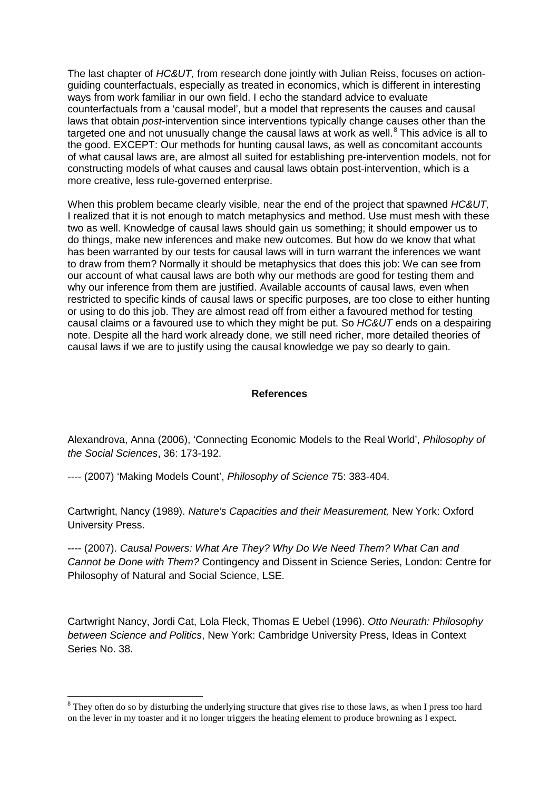The last chapter of *HC&UT,* from research done jointly with Julian Reiss, focuses on actionguiding counterfactuals, especially as treated in economics, which is different in interesting ways from work familiar in our own field. I echo the standard advice to evaluate counterfactuals from a 'causal model', but a model that represents the causes and causal laws that obtain *post*-intervention since interventions typically change causes other than the targeted one and not unusually change the causal laws at work as well. $8$  This advice is all to the good. EXCEPT: Our methods for hunting causal laws, as well as concomitant accounts of what causal laws are, are almost all suited for establishing pre-intervention models, not for constructing models of what causes and causal laws obtain post-intervention, which is a more creative, less rule-governed enterprise.

When this problem became clearly visible, near the end of the project that spawned *HC&UT,* I realized that it is not enough to match metaphysics and method. Use must mesh with these two as well. Knowledge of causal laws should gain us something; it should empower us to do things, make new inferences and make new outcomes. But how do we know that what has been warranted by our tests for causal laws will in turn warrant the inferences we want to draw from them? Normally it should be metaphysics that does this job: We can see from our account of what causal laws are both why our methods are good for testing them and why our inference from them are justified. Available accounts of causal laws, even when restricted to specific kinds of causal laws or specific purposes, are too close to either hunting or using to do this job. They are almost read off from either a favoured method for testing causal claims or a favoured use to which they might be put. So *HC&UT* ends on a despairing note. Despite all the hard work already done, we still need richer, more detailed theories of causal laws if we are to justify using the causal knowledge we pay so dearly to gain.

### **References**

Alexandrova, Anna (2006), 'Connecting Economic Models to the Real World', *Philosophy of the Social Sciences*, 36: 173-192.

---- (2007) 'Making Models Count', *Philosophy of Science* 75: 383-404.

Cartwright, Nancy (1989). *Nature's Capacities and their Measurement,* New York: Oxford University Press.

---- (2007). *Causal Powers: What Are They? Why Do We Need Them? What Can and Cannot be Done with Them?* Contingency and Dissent in Science Series, London: Centre for Philosophy of Natural and Social Science, LSE.

Cartwright Nancy, Jordi Cat, Lola Fleck, Thomas E Uebel (1996). *Otto Neurath: Philosophy between Science and Politics*, New York: Cambridge University Press, Ideas in Context Series No. 38.

<span id="page-3-0"></span><sup>&</sup>lt;sup>8</sup> They often do so by disturbing the underlying structure that gives rise to those laws, as when I press too hard on the lever in my toaster and it no longer triggers the heating element to produce browning as I expect.